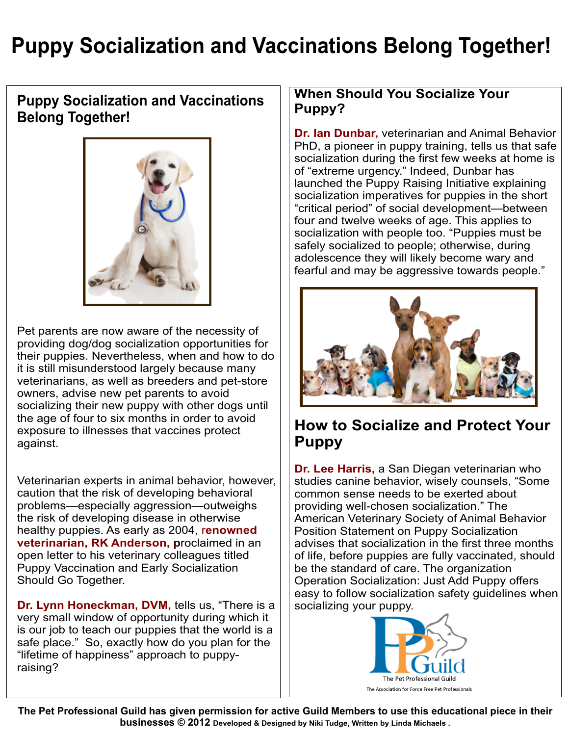# **Puppy Socialization and Vaccinations Belong Together!**

### **Puppy Socialization and Vaccinations Belong Together!**



Pet parents are now aware of the necessity of providing dog/dog socialization opportunities for their puppies. Nevertheless, when and how to do it is still misunderstood largely because many veterinarians, as well as breeders and pet-store owners, advise new pet parents to avoid socializing their new puppy with other dogs until the age of four to six months in order to avoid exposure to illnesses that vaccines protect against.

Veterinarian experts in animal behavior, however, caution that the risk of developing behavioral problems—especially aggression—outweighs the risk of developing disease in otherwise healthy puppies. As early as 2004, r**enowned veterinarian, RK Anderson, p**roclaimed in an open letter to his veterinary colleagues titled Puppy Vaccination and Early Socialization Should Go Together.

**Dr. Lynn Honeckman, DVM,** tells us, "There is a very small window of opportunity during which it is our job to teach our puppies that the world is a safe place." So, exactly how do you plan for the "lifetime of happiness" approach to puppyraising?

#### **When Should You Socialize Your Puppy?**

**Dr. Ian Dunbar,** veterinarian and Animal Behavior PhD, a pioneer in puppy training, tells us that safe socialization during the first few weeks at home is of "extreme urgency." Indeed, Dunbar has launched the Puppy Raising Initiative explaining socialization imperatives for puppies in the short "critical period" of social development—between four and twelve weeks of age. This applies to socialization with people too. "Puppies must be safely socialized to people; otherwise, during adolescence they will likely become wary and fearful and may be aggressive towards people."



### **How to Socialize and Protect Your Puppy**

**Dr. Lee Harris,** a San Diegan veterinarian who studies canine behavior, wisely counsels, "Some common sense needs to be exerted about providing well-chosen socialization." The American Veterinary Society of Animal Behavior Position Statement on Puppy Socialization advises that socialization in the first three months of life, before puppies are fully vaccinated, should be the standard of care. The organization Operation Socialization: Just Add Puppy offers easy to follow socialization safety guidelines when socializing your puppy.



**The Pet Professional Guild has given permission for active Guild Members to use this educational piece in their businesses © 2012 Developed & Designed by Niki Tudge, Written by Linda Michaels .**